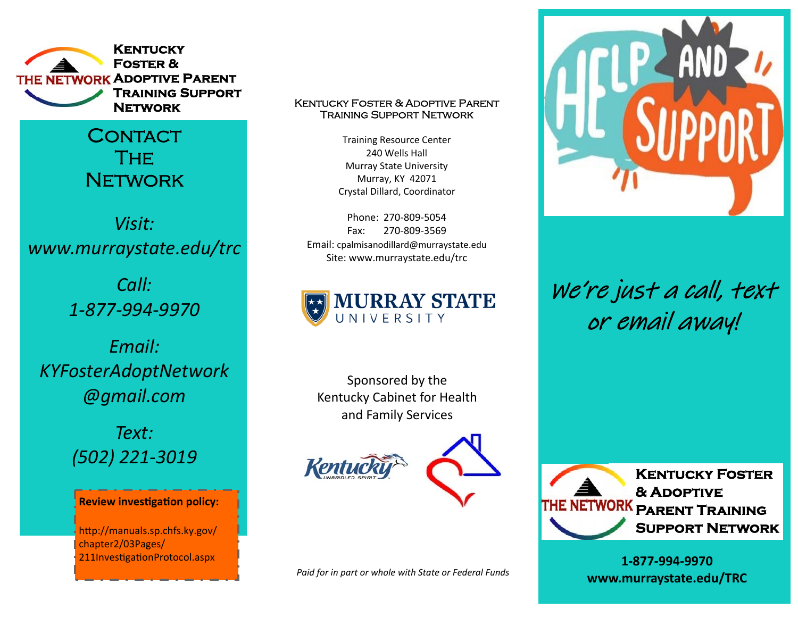

**CONTACT** The **NETWORK** 

*Visit: www.murraystate.edu/trc* 

> *Call: 1‐877‐994‐9970*

*Email: KYFosterAdoptNetwork @gmail.com* 

> *Text: (502) 221‐3019*

#### **Review investigation policy:**

http://manuals.sp.chfs.ky.gov/ chapter2/03Pages/ 211InvestigationProtocol.aspx

## **Network** Kentucky Foster & Adoptive Parent Training Support Network

Training Resource Center 240 Wells Hall Murray State University Murray, KY 42071 Crystal Dillard, Coordinator

Phone: 270‐809‐5054 Fax: 270‐809‐3569 Email: cpalmisanodillard@murraystate.edu Site: www.murraystate.edu/trc



Sponsored by the Kentucky Cabinet for Health and Family Services





*Paid for in part or whole with State or Federal Funds* 



We're just a call, text or email away!



**1‐877‐994‐9970 www.murraystate.edu/TRC**